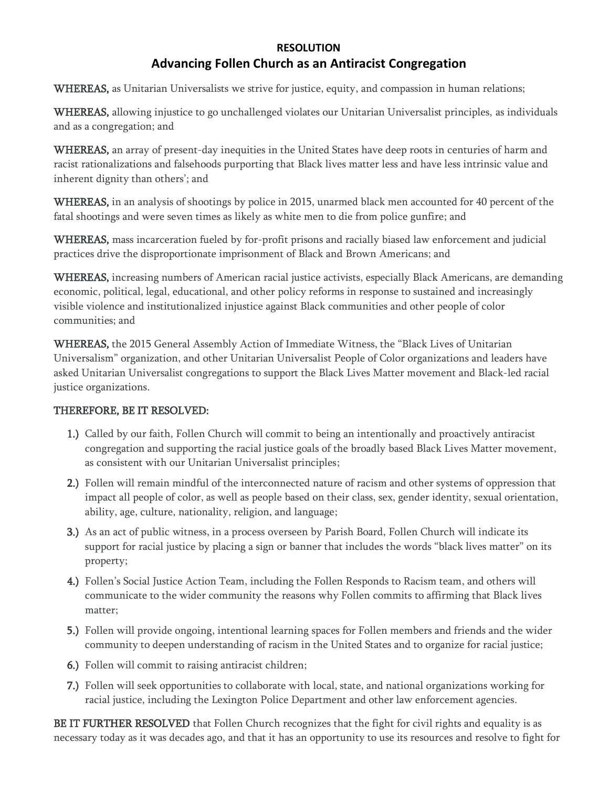## **RESOLUTION Advancing Follen Church as an Antiracist Congregation**

WHEREAS, as Unitarian Universalists we strive for justice, equity, and compassion in human relations;

WHEREAS, allowing injustice to go unchallenged violates our Unitarian Universalist principles, as individuals and as a congregation; and

WHEREAS, an array of present-day inequities in the United States have deep roots in centuries of harm and racist rationalizations and falsehoods purporting that Black lives matter less and have less intrinsic value and inherent dignity than others'; and

WHEREAS, in an analysis of shootings by police in 2015, unarmed black men accounted for 40 percent of the fatal shootings and were seven times as likely as white men to die from police gunfire; and

WHEREAS, mass incarceration fueled by for-profit prisons and racially biased law enforcement and judicial practices drive the disproportionate imprisonment of Black and Brown Americans; and

WHEREAS, increasing numbers of American racial justice activists, especially Black Americans, are demanding economic, political, legal, educational, and other policy reforms in response to sustained and increasingly visible violence and institutionalized injustice against Black communities and other people of color communities; and

WHEREAS, the 2015 General Assembly Action of Immediate Witness, the "Black Lives of Unitarian Universalism" organization, and other Unitarian Universalist People of Color organizations and leaders have asked Unitarian Universalist congregations to support the Black Lives Matter movement and Black-led racial justice organizations.

## THEREFORE, BE IT RESOLVED:

- 1.) Called by our faith, Follen Church will commit to being an intentionally and proactively antiracist congregation and supporting the racial justice goals of the broadly based Black Lives Matter movement, as consistent with our Unitarian Universalist principles;
- 2.) Follen will remain mindful of the interconnected nature of racism and other systems of oppression that impact all people of color, as well as people based on their class, sex, gender identity, sexual orientation, ability, age, culture, nationality, religion, and language;
- 3.) As an act of public witness, in a process overseen by Parish Board, Follen Church will indicate its support for racial justice by placing a sign or banner that includes the words "black lives matter" on its property;
- 4.) Follen's Social Justice Action Team, including the Follen Responds to Racism team, and others will communicate to the wider community the reasons why Follen commits to affirming that Black lives matter;
- 5.) Follen will provide ongoing, intentional learning spaces for Follen members and friends and the wider community to deepen understanding of racism in the United States and to organize for racial justice;
- 6.) Follen will commit to raising antiracist children;
- 7.) Follen will seek opportunities to collaborate with local, state, and national organizations working for racial justice, including the Lexington Police Department and other law enforcement agencies.

BE IT FURTHER RESOLVED that Follen Church recognizes that the fight for civil rights and equality is as necessary today as it was decades ago, and that it has an opportunity to use its resources and resolve to fight for